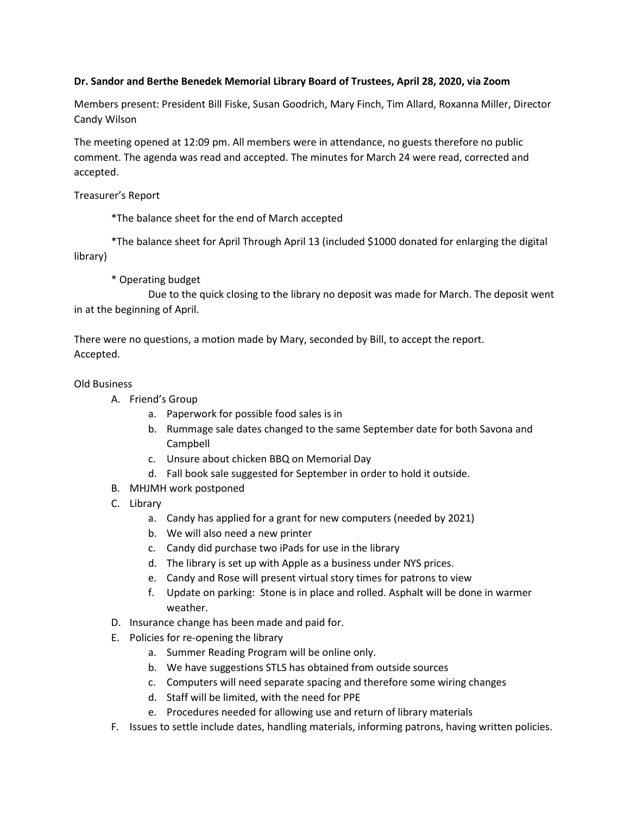## **Dr. Sandor and Berthe Benedek Memorial Library Board of Trustees, April 28, 2020, via Zoom**

Members present: President Bill Fiske, Susan Goodrich, Mary Finch, Tim Allard, Roxanna Miller, Director Candy Wilson

The meeting opened at 12:09 pm. All members were in attendance, no guests therefore no public comment. The agenda was read and accepted. The minutes for March 24 were read, corrected and accepted.

Treasurer's Report

\*The balance sheet for the end of March accepted

\*The balance sheet for April Through April 13 (included \$1000 donated for enlarging the digital library)

\* Operating budget

Due to the quick closing to the library no deposit was made for March. The deposit went in at the beginning of April.

There were no questions, a motion made by Mary, seconded by Bill, to accept the report. Accepted.

## Old Business

- A. Friend's Group
	- a. Paperwork for possible food sales is in
	- b. Rummage sale dates changed to the same September date for both Savona and Campbell
	- c. Unsure about chicken BBQ on Memorial Day
	- d. Fall book sale suggested for September in order to hold it outside.
- B. MHJMH work postponed
- C. Library
	- a. Candy has applied for a grant for new computers (needed by 2021)
	- b. We will also need a new printer
	- c. Candy did purchase two iPads for use in the library
	- d. The library is set up with Apple as a business under NYS prices.
	- e. Candy and Rose will present virtual story times for patrons to view
	- f. Update on parking: Stone is in place and rolled. Asphalt will be done in warmer weather.
- D. Insurance change has been made and paid for.
- E. Policies for re-opening the library
	- a. Summer Reading Program will be online only.
	- b. We have suggestions STLS has obtained from outside sources
	- c. Computers will need separate spacing and therefore some wiring changes
	- d. Staff will be limited, with the need for PPE
	- e. Procedures needed for allowing use and return of library materials
- F. Issues to settle include dates, handling materials, informing patrons, having written policies.